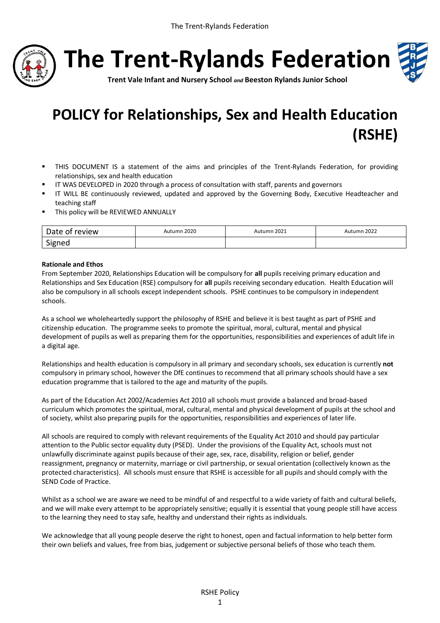

**The Trent-Rylands Federation**



**Trent Vale Infant and Nursery School** *and* **Beeston Rylands Junior School**

# **POLICY for Relationships, Sex and Health Education (RSHE)**

- THIS DOCUMENT IS a statement of the aims and principles of the Trent-Rylands Federation, for providing relationships, sex and health education
- IT WAS DEVELOPED in 2020 through a process of consultation with staff, parents and governors
- IT WILL BE continuously reviewed, updated and approved by the Governing Body, Executive Headteacher and teaching staff
- This policy will be REVIEWED ANNUALLY

| Date of review | Autumn 2020 | Autumn 2021 | Autumn 2022 |
|----------------|-------------|-------------|-------------|
| Signed         |             |             |             |

## **Rationale and Ethos**

From September 2020, Relationships Education will be compulsory for **all** pupils receiving primary education and Relationships and Sex Education (RSE) compulsory for **all** pupils receiving secondary education. Health Education will also be compulsory in all schools except independent schools. PSHE continues to be compulsory in independent schools.

As a school we wholeheartedly support the philosophy of RSHE and believe it is best taught as part of PSHE and citizenship education. The programme seeks to promote the spiritual, moral, cultural, mental and physical development of pupils as well as preparing them for the opportunities, responsibilities and experiences of adult life in a digital age.

Relationships and health education is compulsory in all primary and secondary schools, sex education is currently **not** compulsory in primary school, however the DfE continues to recommend that all primary schools should have a sex education programme that is tailored to the age and maturity of the pupils.

As part of the Education Act 2002/Academies Act 2010 all schools must provide a balanced and broad-based curriculum which promotes the spiritual, moral, cultural, mental and physical development of pupils at the school and of society, whilst also preparing pupils for the opportunities, responsibilities and experiences of later life.

All schools are required to comply with relevant requirements of the Equality Act 2010 and should pay particular attention to the Public sector equality duty (PSED). Under the provisions of the Equality Act, schools must not unlawfully discriminate against pupils because of their age, sex, race, disability, religion or belief, gender reassignment, pregnancy or maternity, marriage or civil partnership, or sexual orientation (collectively known as the protected characteristics). All schools must ensure that RSHE is accessible for all pupils and should comply with the SEND Code of Practice.

Whilst as a school we are aware we need to be mindful of and respectful to a wide variety of faith and cultural beliefs, and we will make every attempt to be appropriately sensitive; equally it is essential that young people still have access to the learning they need to stay safe, healthy and understand their rights as individuals.

We acknowledge that all young people deserve the right to honest, open and factual information to help better form their own beliefs and values, free from bias, judgement or subjective personal beliefs of those who teach them.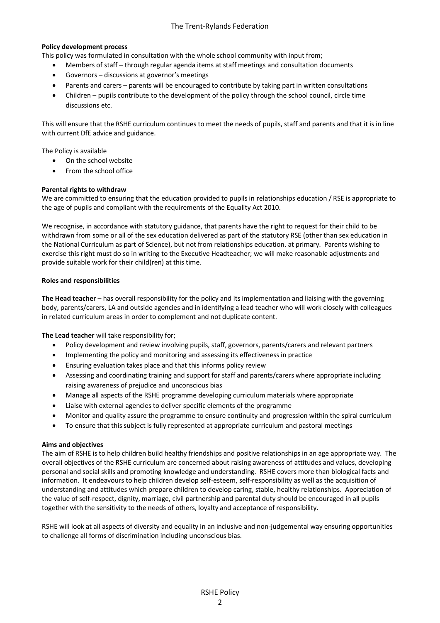# The Trent-Rylands Federation

#### **Policy development process**

This policy was formulated in consultation with the whole school community with input from;

- Members of staff through regular agenda items at staff meetings and consultation documents
- Governors discussions at governor's meetings
- Parents and carers parents will be encouraged to contribute by taking part in written consultations
- Children pupils contribute to the development of the policy through the school council, circle time discussions etc.

This will ensure that the RSHE curriculum continues to meet the needs of pupils, staff and parents and that it is in line with current DfE advice and guidance.

The Policy is available

- On the school website
- From the school office

## **Parental rights to withdraw**

We are committed to ensuring that the education provided to pupils in relationships education / RSE is appropriate to the age of pupils and compliant with the requirements of the Equality Act 2010.

We recognise, in accordance with statutory guidance, that parents have the right to request for their child to be withdrawn from some or all of the sex education delivered as part of the statutory RSE (other than sex education in the National Curriculum as part of Science), but not from relationships education. at primary. Parents wishing to exercise this right must do so in writing to the Executive Headteacher; we will make reasonable adjustments and provide suitable work for their child(ren) at this time.

#### **Roles and responsibilities**

**The Head teacher** – has overall responsibility for the policy and its implementation and liaising with the governing body, parents/carers, LA and outside agencies and in identifying a lead teacher who will work closely with colleagues in related curriculum areas in order to complement and not duplicate content.

**The Lead teacher** will take responsibility for;

- Policy development and review involving pupils, staff, governors, parents/carers and relevant partners
- Implementing the policy and monitoring and assessing its effectiveness in practice
- Ensuring evaluation takes place and that this informs policy review
- Assessing and coordinating training and support for staff and parents/carers where appropriate including raising awareness of prejudice and unconscious bias
- Manage all aspects of the RSHE programme developing curriculum materials where appropriate
- Liaise with external agencies to deliver specific elements of the programme
- Monitor and quality assure the programme to ensure continuity and progression within the spiral curriculum
- To ensure that this subject is fully represented at appropriate curriculum and pastoral meetings

#### **Aims and objectives**

The aim of RSHE is to help children build healthy friendships and positive relationships in an age appropriate way. The overall objectives of the RSHE curriculum are concerned about raising awareness of attitudes and values, developing personal and social skills and promoting knowledge and understanding. RSHE covers more than biological facts and information. It endeavours to help children develop self-esteem, self-responsibility as well as the acquisition of understanding and attitudes which prepare children to develop caring, stable, healthy relationships. Appreciation of the value of self-respect, dignity, marriage, civil partnership and parental duty should be encouraged in all pupils together with the sensitivity to the needs of others, loyalty and acceptance of responsibility.

RSHE will look at all aspects of diversity and equality in an inclusive and non-judgemental way ensuring opportunities to challenge all forms of discrimination including unconscious bias.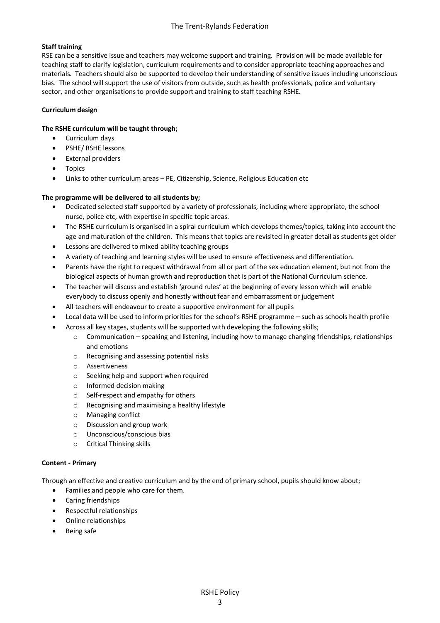# **Staff training**

RSE can be a sensitive issue and teachers may welcome support and training. Provision will be made available for teaching staff to clarify legislation, curriculum requirements and to consider appropriate teaching approaches and materials. Teachers should also be supported to develop their understanding of sensitive issues including unconscious bias. The school will support the use of visitors from outside, such as health professionals, police and voluntary sector, and other organisations to provide support and training to staff teaching RSHE.

# **Curriculum design**

## **The RSHE curriculum will be taught through;**

- Curriculum days
- PSHE/ RSHE lessons
- External providers
- Topics
- Links to other curriculum areas PE, Citizenship, Science, Religious Education etc

## **The programme will be delivered to all students by;**

- Dedicated selected staff supported by a variety of professionals, including where appropriate, the school nurse, police etc, with expertise in specific topic areas.
- The RSHE curriculum is organised in a spiral curriculum which develops themes/topics, taking into account the age and maturation of the children. This means that topics are revisited in greater detail as students get older
- Lessons are delivered to mixed-ability teaching groups
- A variety of teaching and learning styles will be used to ensure effectiveness and differentiation.
- Parents have the right to request withdrawal from all or part of the sex education element, but not from the biological aspects of human growth and reproduction that is part of the National Curriculum science.
- The teacher will discuss and establish 'ground rules' at the beginning of every lesson which will enable everybody to discuss openly and honestly without fear and embarrassment or judgement
- All teachers will endeavour to create a supportive environment for all pupils
- Local data will be used to inform priorities for the school's RSHE programme such as schools health profile
- Across all key stages, students will be supported with developing the following skills;
	- o Communication speaking and listening, including how to manage changing friendships, relationships and emotions
	- o Recognising and assessing potential risks
	- o Assertiveness
	- o Seeking help and support when required
	- o Informed decision making
	- o Self-respect and empathy for others
	- o Recognising and maximising a healthy lifestyle
	- o Managing conflict
	- o Discussion and group work
	- o Unconscious/conscious bias
	- o Critical Thinking skills

#### **Content - Primary**

Through an effective and creative curriculum and by the end of primary school, pupils should know about;

- Families and people who care for them.
- Caring friendships
- Respectful relationships
- Online relationships
- Being safe